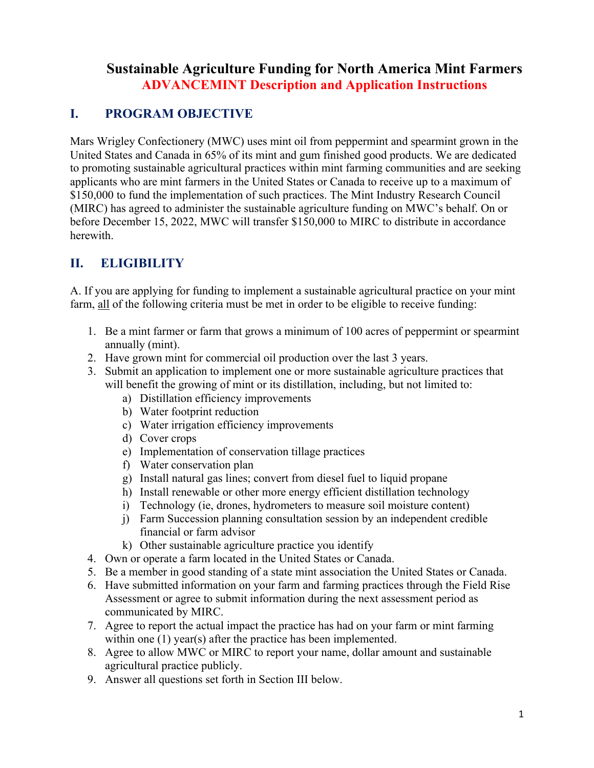# **Sustainable Agriculture Funding for North America Mint Farmers ADVANCEMINT Description and Application Instructions**

## **I. PROGRAM OBJECTIVE**

Mars Wrigley Confectionery (MWC) uses mint oil from peppermint and spearmint grown in the United States and Canada in 65% of its mint and gum finished good products. We are dedicated to promoting sustainable agricultural practices within mint farming communities and are seeking applicants who are mint farmers in the United States or Canada to receive up to a maximum of \$150,000 to fund the implementation of such practices. The Mint Industry Research Council (MIRC) has agreed to administer the sustainable agriculture funding on MWC's behalf. On or before December 15, 2022, MWC will transfer \$150,000 to MIRC to distribute in accordance herewith.

# **II. ELIGIBILITY**

A. If you are applying for funding to implement a sustainable agricultural practice on your mint farm, all of the following criteria must be met in order to be eligible to receive funding:

- 1. Be a mint farmer or farm that grows a minimum of 100 acres of peppermint or spearmint annually (mint).
- 2. Have grown mint for commercial oil production over the last 3 years.
- 3. Submit an application to implement one or more sustainable agriculture practices that will benefit the growing of mint or its distillation, including, but not limited to:
	- a) Distillation efficiency improvements
	- b) Water footprint reduction
	- c) Water irrigation efficiency improvements
	- d) Cover crops
	- e) Implementation of conservation tillage practices
	- f) Water conservation plan
	- g) Install natural gas lines; convert from diesel fuel to liquid propane
	- h) Install renewable or other more energy efficient distillation technology
	- i) Technology (ie, drones, hydrometers to measure soil moisture content)
	- j) Farm Succession planning consultation session by an independent credible financial or farm advisor
	- k) Other sustainable agriculture practice you identify
- 4. Own or operate a farm located in the United States or Canada.
- 5. Be a member in good standing of a state mint association the United States or Canada.
- 6. Have submitted information on your farm and farming practices through the Field Rise Assessment or agree to submit information during the next assessment period as communicated by MIRC.
- 7. Agree to report the actual impact the practice has had on your farm or mint farming within one (1) year(s) after the practice has been implemented.
- 8. Agree to allow MWC or MIRC to report your name, dollar amount and sustainable agricultural practice publicly.
- 9. Answer all questions set forth in Section III below.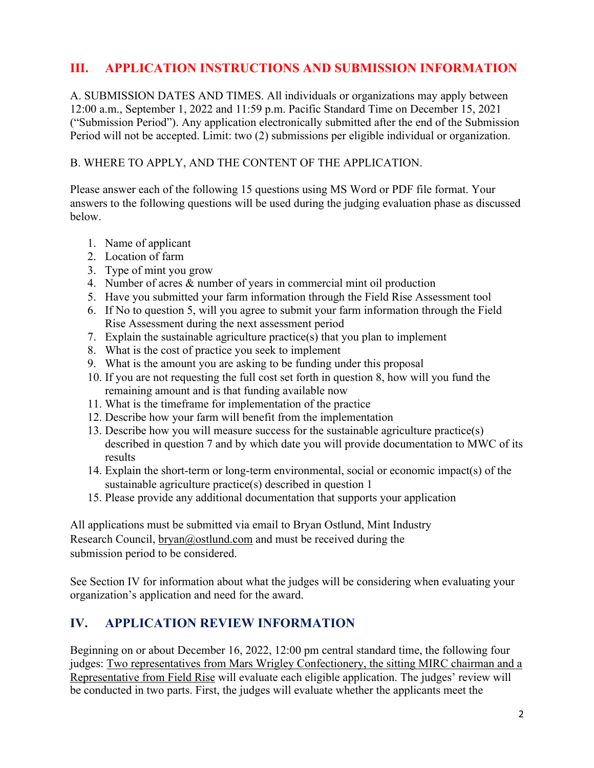## **III. APPLICATION INSTRUCTIONS AND SUBMISSION INFORMATION**

A. SUBMISSION DATES AND TIMES. All individuals or organizations may apply between 12:00 a.m., September 1, 2022 and 11:59 p.m. Pacific Standard Time on December 15, 2021 ("Submission Period"). Any application electronically submitted after the end of the Submission Period will not be accepted. Limit: two (2) submissions per eligible individual or organization.

#### B. WHERE TO APPLY, AND THE CONTENT OF THE APPLICATION.

Please answer each of the following 15 questions using MS Word or PDF file format. Your answers to the following questions will be used during the judging evaluation phase as discussed below.

- 1. Name of applicant
- 2. Location of farm
- 3. Type of mint you grow
- 4. Number of acres & number of years in commercial mint oil production
- 5. Have you submitted your farm information through the Field Rise Assessment tool
- 6. If No to question 5, will you agree to submit your farm information through the Field Rise Assessment during the next assessment period
- 7. Explain the sustainable agriculture practice(s) that you plan to implement
- 8. What is the cost of practice you seek to implement
- 9. What is the amount you are asking to be funding under this proposal
- 10. If you are not requesting the full cost set forth in question 8, how will you fund the remaining amount and is that funding available now
- 11. What is the timeframe for implementation of the practice
- 12. Describe how your farm will benefit from the implementation
- 13. Describe how you will measure success for the sustainable agriculture practice(s) described in question 7 and by which date you will provide documentation to MWC of its results
- 14. Explain the short-term or long-term environmental, social or economic impact(s) of the sustainable agriculture practice(s) described in question 1
- 15. Please provide any additional documentation that supports your application

All applications must be submitted via email to Bryan Ostlund, Mint Industry Research Council, bryan@ostlund.com and must be received during the submission period to be considered.

See Section IV for information about what the judges will be considering when evaluating your organization's application and need for the award.

### **IV. APPLICATION REVIEW INFORMATION**

Beginning on or about December 16, 2022, 12:00 pm central standard time, the following four judges: Two representatives from Mars Wrigley Confectionery, the sitting MIRC chairman and a Representative from Field Rise will evaluate each eligible application. The judges' review will be conducted in two parts. First, the judges will evaluate whether the applicants meet the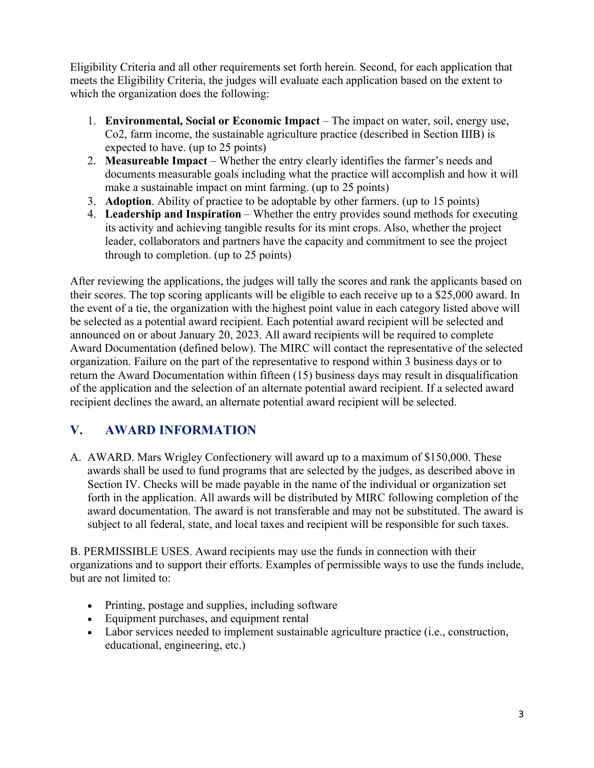Eligibility Criteria and all other requirements set forth herein. Second, for each application that meets the Eligibility Criteria, the judges will evaluate each application based on the extent to which the organization does the following:

- 1. **Environmental, Social or Economic Impact** The impact on water, soil, energy use, Co2, farm income, the sustainable agriculture practice (described in Section IIIB) is expected to have. (up to 25 points)
- 2. **Measureable Impact** Whether the entry clearly identifies the farmer's needs and documents measurable goals including what the practice will accomplish and how it will make a sustainable impact on mint farming. (up to 25 points)
- 3. **Adoption**. Ability of practice to be adoptable by other farmers. (up to 15 points)
- 4. **Leadership and Inspiration** Whether the entry provides sound methods for executing its activity and achieving tangible results for its mint crops. Also, whether the project leader, collaborators and partners have the capacity and commitment to see the project through to completion. (up to 25 points)

After reviewing the applications, the judges will tally the scores and rank the applicants based on their scores. The top scoring applicants will be eligible to each receive up to a \$25,000 award. In the event of a tie, the organization with the highest point value in each category listed above will be selected as a potential award recipient. Each potential award recipient will be selected and announced on or about January 20, 2023. All award recipients will be required to complete Award Documentation (defined below). The MIRC will contact the representative of the selected organization. Failure on the part of the representative to respond within 3 business days or to return the Award Documentation within fifteen (15) business days may result in disqualification of the application and the selection of an alternate potential award recipient. If a selected award recipient declines the award, an alternate potential award recipient will be selected.

### **V. AWARD INFORMATION**

A. AWARD. Mars Wrigley Confectionery will award up to a maximum of \$150,000. These awards shall be used to fund programs that are selected by the judges, as described above in Section IV. Checks will be made payable in the name of the individual or organization set forth in the application. All awards will be distributed by MIRC following completion of the award documentation. The award is not transferable and may not be substituted. The award is subject to all federal, state, and local taxes and recipient will be responsible for such taxes.

B. PERMISSIBLE USES. Award recipients may use the funds in connection with their organizations and to support their efforts. Examples of permissible ways to use the funds include, but are not limited to:

- Printing, postage and supplies, including software
- Equipment purchases, and equipment rental
- Labor services needed to implement sustainable agriculture practice (i.e., construction, educational, engineering, etc.)